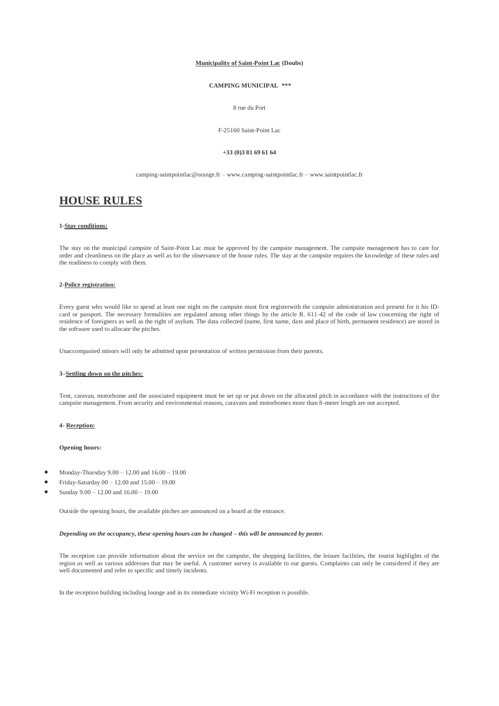#### **Municipality of Saint-Point Lac (Doubs)**

# **CAMPING MUNICIPAL \*\*\***

## 8 rue du Port

#### F-25160 Saint-Point Lac

#### **+33 (0)3 81 69 61 64**

camping-saintpointlac@orange.fr – www.camping-saintpointlac.fr – www.saintpointlac.fr

# **HOUSE RULES**

## **1-Stay conditions:**

The stay on the municipal campsite of Saint-Point Lac must be approved by the campsite management. The campsite management has to care for order and cleanliness on the place as well as for the observance of the house rules. The stay at the campsite requires the knowledge of these rules and the readiness to comply with them.

### **2-Police registration:**

Every guest who would like to spend at least one night on the campsite must first registerwith the campsite administration and present for it his IDcard or passport. The necessary formalities are regulated among other things by the article R. 611-42 of the code of law concerning the right of residence of foreigners as well as the right of asylum. The data collected (name, first name, date and place of birth, permanent residence) are stored in the software used to allocate the pitches.

Unaccompanied minors will only be admitted upon presentation of written permission from their parents.

## **3–Settling down on the pitches:**

Tent, caravan, motorhome and the associated equipment must be set up or put down on the allocated pitch in accordance with the instructions of the campsite management. From security and environmental reasons, caravans and motorhomes more than 8-meter length are not accepted.

## **4- Reception:**

## **Opening hours:**

- Monday-Thursday 9.00 12.00 and 16.00 19.00
- Friday-Saturday 00 12.00 and 15.00 19.00
- Sunday 9.00 12.00 and 16.00 19.00

Outside the opening hours, the available pitches are announced on a board at the entrance.

#### *Depending on the occupancy, these opening hours can be changed – this will be announced by poster.*

The reception can provide information about the service on the campsite, the shopping facilities, the leisure facilities, the tourist highlights of the region as well as various addresses that may be useful. A customer survey is available to our guests. Complaints can only be considered if they are well documented and refer to specific and timely incidents.

In the reception building including lounge and in its immediate vicinity Wi-Fi reception is possible.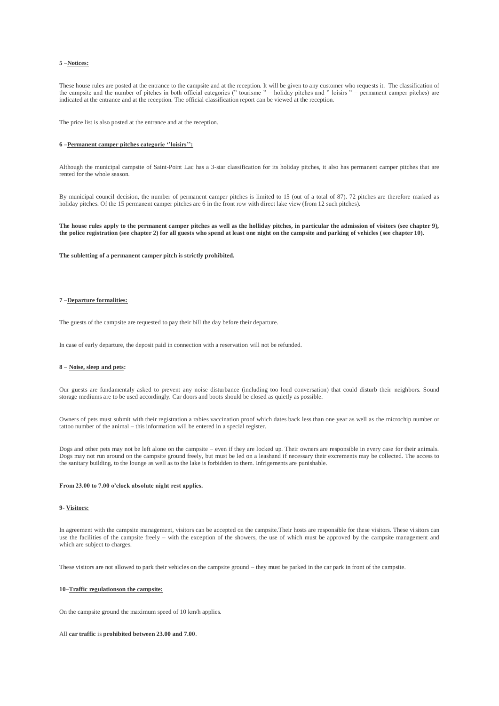## **5 –Notices:**

These house rules are posted at the entrance to the campsite and at the reception. It will be given to any customer who reque sts it. The classification of the campsite and the number of pitches in both official categories (" tourisme " = holiday pitches and " loisirs " = permanent camper pitches) are indicated at the entrance and at the reception. The official classification report can be viewed at the reception.

The price list is also posted at the entrance and at the reception.

#### **6 –Permanent camper pitches categorie ''loisirs'':**

Although the municipal campsite of Saint-Point Lac has a 3-star classification for its holiday pitches, it also has permanent camper pitches that are rented for the whole season.

By municipal council decision, the number of permanent camper pitches is limited to 15 (out of a total of 87). 72 pitches are therefore marked as holiday pitches. Of the 15 permanent camper pitches are 6 in the front row with direct lake view (from 12 such pitches).

**The house rules apply to the permanent camper pitches as well as the holliday pitches, in particular the admission of visitors (see chapter 9), the police registration (see chapter 2) for all guests who spend at least one night on the campsite and parking of vehicles (see chapter 10).**

**The subletting of a permanent camper pitch is strictly prohibited.**

## **7 –Departure formalities:**

The guests of the campsite are requested to pay their bill the day before their departure.

In case of early departure, the deposit paid in connection with a reservation will not be refunded.

## **8 – Noise, sleep and pets:**

Our guests are fundamentaly asked to prevent any noise disturbance (including too loud conversation) that could disturb their neighbors. Sound storage mediums are to be used accordingly. Car doors and boots should be closed as quietly as possible.

Owners of pets must submit with their registration a rabies vaccination proof which dates back less than one year as well as the microchip number or tattoo number of the animal – this information will be entered in a special register.

Dogs and other pets may not be left alone on the campsite – even if they are locked up. Their owners are responsible in every case for their animals. Dogs may not run around on the campsite ground freely, but must be led on a leashand if necessary their excrements may be collected. The access to the sanitary building, to the lounge as well as to the lake is forbidden to them. Infrigements are punishable.

#### **From 23.00 to 7.00 o'clock absolute night rest applies.**

#### **9- Visitors:**

In agreement with the campsite management, visitors can be accepted on the campsite.Their hosts are responsible for these visitors. These visitors can use the facilities of the campsite freely – with the exception of the showers, the use of which must be approved by the campsite management and which are subject to charges.

These visitors are not allowed to park their vehicles on the campsite ground – they must be parked in the car park in front of the campsite.

#### **10–Traffic regulationson the campsite:**

On the campsite ground the maximum speed of 10 km/h applies.

#### All **car traffic** is **prohibited between 23.00 and 7.00**.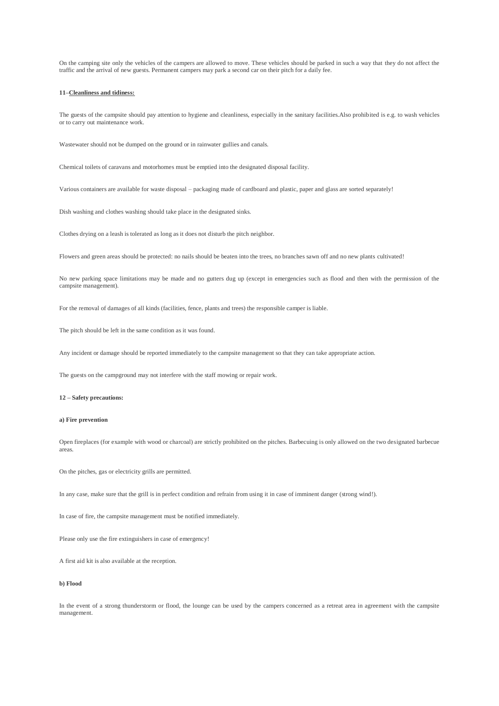On the camping site only the vehicles of the campers are allowed to move. These vehicles should be parked in such a way that they do not affect the traffic and the arrival of new guests. Permanent campers may park a second car on their pitch for a daily fee.

#### **11–Cleanliness and tidiness:**

The guests of the campsite should pay attention to hygiene and cleanliness, especially in the sanitary facilities.Also prohibited is e.g. to wash vehicles or to carry out maintenance work.

Wastewater should not be dumped on the ground or in rainwater gullies and canals.

Chemical toilets of caravans and motorhomes must be emptied into the designated disposal facility.

Various containers are available for waste disposal – packaging made of cardboard and plastic, paper and glass are sorted separately!

Dish washing and clothes washing should take place in the designated sinks.

Clothes drying on a leash is tolerated as long as it does not disturb the pitch neighbor.

Flowers and green areas should be protected: no nails should be beaten into the trees, no branches sawn off and no new plants cultivated!

No new parking space limitations may be made and no gutters dug up (except in emergencies such as flood and then with the permission of the campsite management).

For the removal of damages of all kinds (facilities, fence, plants and trees) the responsible camper is liable.

The pitch should be left in the same condition as it was found.

Any incident or damage should be reported immediately to the campsite management so that they can take appropriate action.

The guests on the campground may not interfere with the staff mowing or repair work.

## **12 – Safety precautions:**

## **a) Fire prevention**

Open fireplaces (for example with wood or charcoal) are strictly prohibited on the pitches. Barbecuing is only allowed on the two designated barbecue areas.

On the pitches, gas or electricity grills are permitted.

In any case, make sure that the grill is in perfect condition and refrain from using it in case of imminent danger (strong wind!).

In case of fire, the campsite management must be notified immediately.

Please only use the fire extinguishers in case of emergency!

A first aid kit is also available at the reception.

## **b) Flood**

In the event of a strong thunderstorm or flood, the lounge can be used by the campers concerned as a retreat area in agreement with the campsite management.